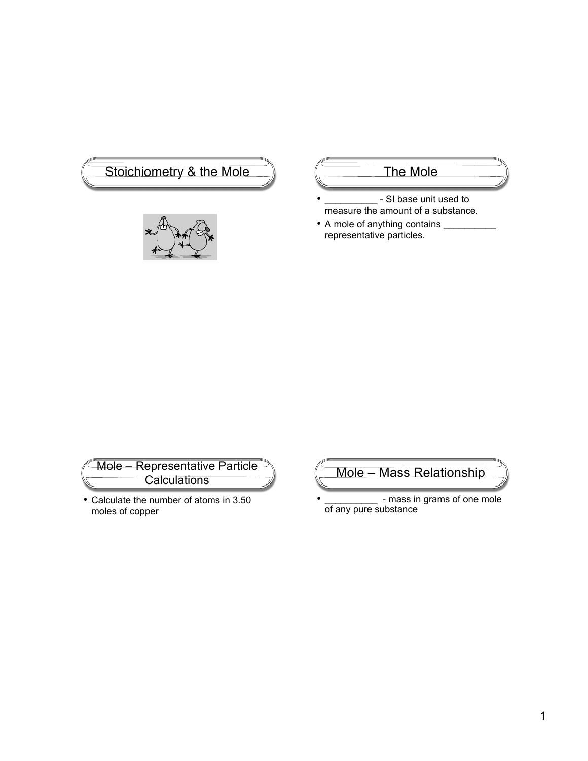



- SI base unit used to measure the amount of a substance.
- A mole of anything contains representative particles.

Mole – Representative Particle **Calculations** 

• Calculate the number of atoms in 3.50 moles of copper

Mole – Mass Relationship

• \_\_\_\_\_\_\_\_\_\_\_\_\_ - mass in grams of one mole of any pure substance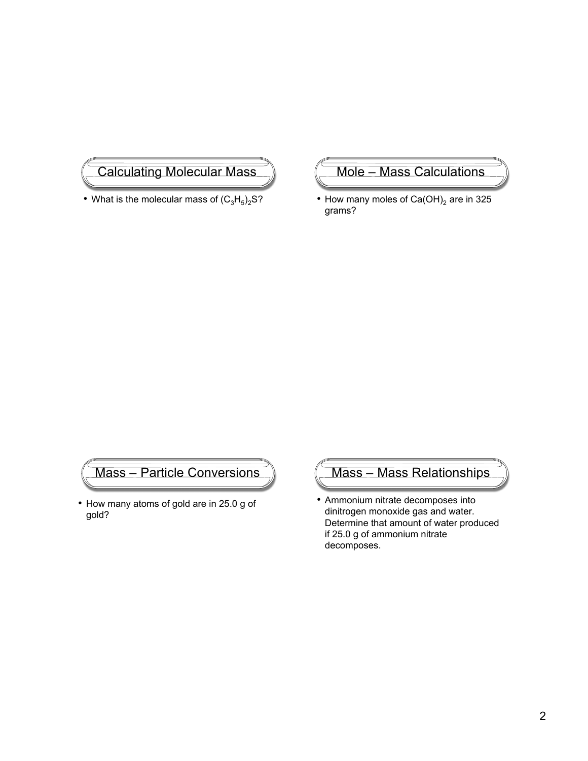## Calculating Molecular Mass

• What is the molecular mass of  $(C_3H_5)_2S$ ?

Mole – Mass Calculations

• How many moles of  $Ca(OH)_2$  are in 325 grams?

## Mass – Particle Conversions

• How many atoms of gold are in 25.0 g of gold?



• Ammonium nitrate decomposes into dinitrogen monoxide gas and water. Determine that amount of water produced if 25.0 g of ammonium nitrate decomposes.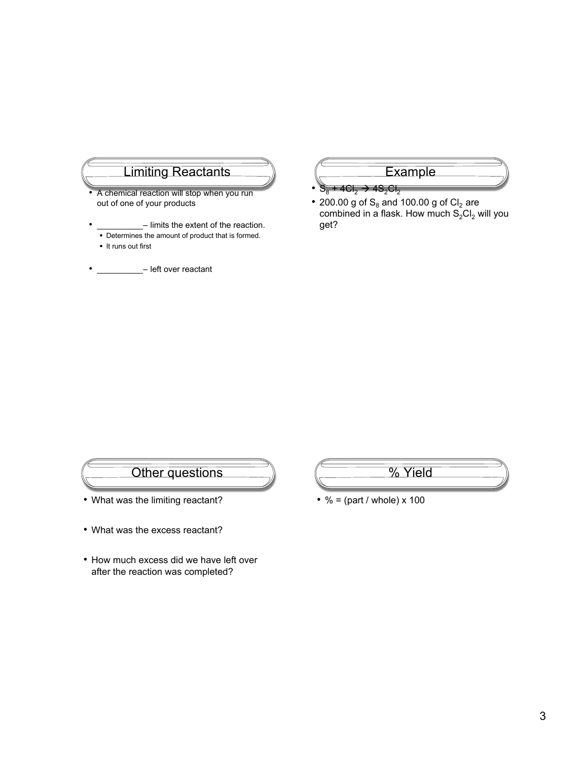## Limiting Reactants

- A chemical reaction will stop when you run out of one of your products
- limits the extent of the reaction.
- Determines the amount of product that is formed. **It runs out first**
- \_\_\_\_ left over reactant

### Example

- $S_8^+$  + 4Cl<sub>2</sub>  $\rightarrow$  4S<sub>2</sub>Cl<sub>2</sub>
- 200.00 g of  $S_8$  and 100.00 g of Cl<sub>2</sub> are combined in a flask. How much  $S_2Cl_2$  will you get?

## Other questions

- What was the limiting reactant?
- What was the excess reactant?
- How much excess did we have left over after the reaction was completed?
- % Yield
- $% = (part / whole) \times 100$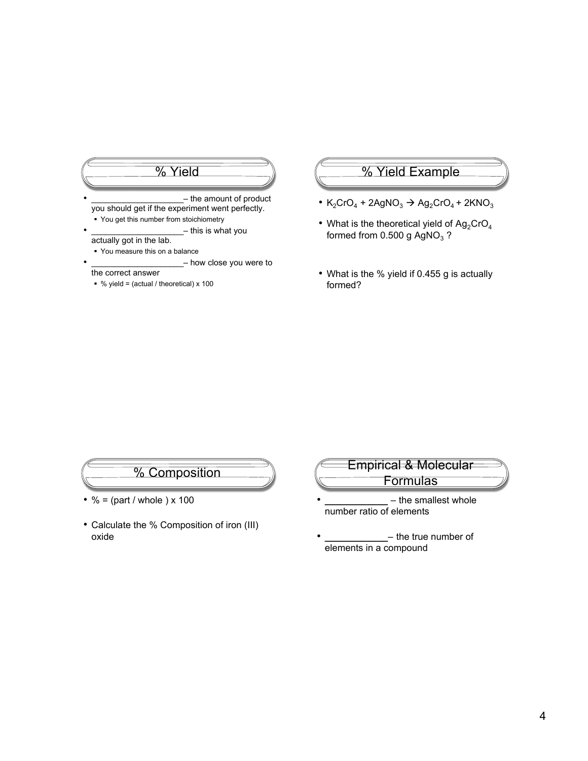## % Yield - the amount of product you should get if the experiment went perfectly.

- You get this number from stoichiometry
- this is what you actually got in the lab.
- You measure this on a balance
	- how close you were to

#### the correct answer

 $\bullet$  % yield = (actual / theoretical) x 100

## % Yield Example

- K<sub>2</sub>CrO<sub>4</sub> + 2AgNO<sub>3</sub>  $\rightarrow$  Ag<sub>2</sub>CrO<sub>4</sub> + 2KNO<sub>3</sub>
- What is the theoretical yield of  $Ag_2CrO_4$ formed from 0.500 g  $AgNO<sub>3</sub>$ ?
- What is the % yield if 0.455 g is actually formed?

# % Composition

- $% = (part / whole) \times 100$
- Calculate the % Composition of iron (III) oxide
- Empirical & Molecular **Formulas** 
	- **\_\_\_\_\_\_\_\_\_\_\_\_** the smallest whole number ratio of elements
- **\_\_\_\_\_\_\_\_\_\_\_\_** the true number of elements in a compound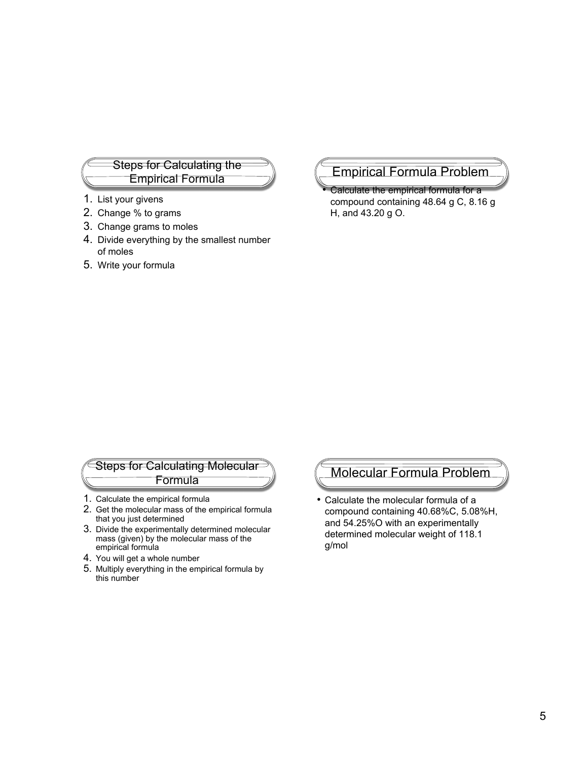## Steps for Calculating the Empirical Formula

- 1. List your givens
- 2. Change % to grams
- 3. Change grams to moles
- 4. Divide everything by the smallest number of moles
- 5. Write your formula

## Empirical Formula Problem

• Calculate the empirical formula for a compound containing 48.64 g C, 8.16 g H, and 43.20 g O.

#### Steps for Calculating Molecular Formula

- 1. Calculate the empirical formula
- 2. Get the molecular mass of the empirical formula that you just determined
- 3. Divide the experimentally determined molecular mass (given) by the molecular mass of the empirical formula
- 4. You will get a whole number
- 5. Multiply everything in the empirical formula by this number

## Molecular Formula Problem

• Calculate the molecular formula of a compound containing 40.68%C, 5.08%H, and 54.25%O with an experimentally determined molecular weight of 118.1 g/mol